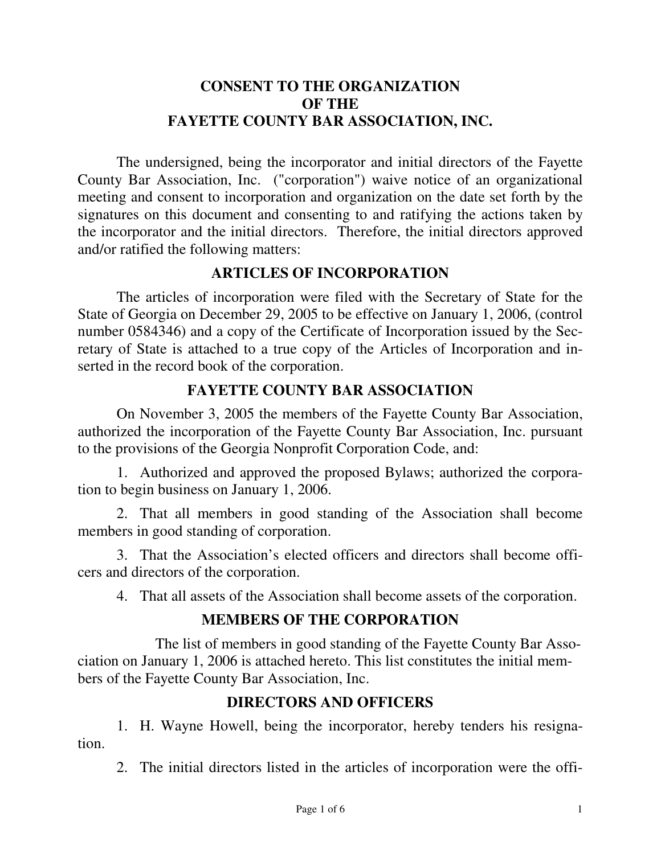## **CONSENT TO THE ORGANIZATION OF THE FAYETTE COUNTY BAR ASSOCIATION, INC.**

The undersigned, being the incorporator and initial directors of the Fayette County Bar Association, Inc. ("corporation") waive notice of an organizational meeting and consent to incorporation and organization on the date set forth by the signatures on this document and consenting to and ratifying the actions taken by the incorporator and the initial directors. Therefore, the initial directors approved and/or ratified the following matters:

## **ARTICLES OF INCORPORATION**

The articles of incorporation were filed with the Secretary of State for the State of Georgia on December 29, 2005 to be effective on January 1, 2006, (control number 0584346) and a copy of the Certificate of Incorporation issued by the Secretary of State is attached to a true copy of the Articles of Incorporation and inserted in the record book of the corporation.

## **FAYETTE COUNTY BAR ASSOCIATION**

On November 3, 2005 the members of the Fayette County Bar Association, authorized the incorporation of the Fayette County Bar Association, Inc. pursuant to the provisions of the Georgia Nonprofit Corporation Code, and:

1. Authorized and approved the proposed Bylaws; authorized the corporation to begin business on January 1, 2006.

2. That all members in good standing of the Association shall become members in good standing of corporation.

3. That the Association's elected officers and directors shall become officers and directors of the corporation.

4. That all assets of the Association shall become assets of the corporation.

## **MEMBERS OF THE CORPORATION**

The list of members in good standing of the Fayette County Bar Association on January 1, 2006 is attached hereto. This list constitutes the initial members of the Fayette County Bar Association, Inc.

# **DIRECTORS AND OFFICERS**

1. H. Wayne Howell, being the incorporator, hereby tenders his resignation.

2. The initial directors listed in the articles of incorporation were the offi-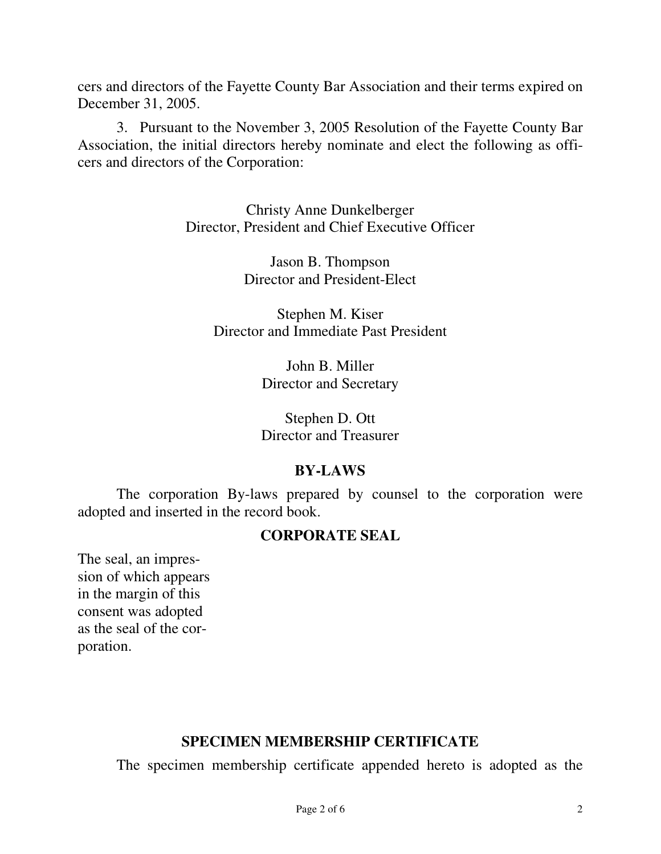cers and directors of the Fayette County Bar Association and their terms expired on December 31, 2005.

3. Pursuant to the November 3, 2005 Resolution of the Fayette County Bar Association, the initial directors hereby nominate and elect the following as officers and directors of the Corporation:

> Christy Anne Dunkelberger Director, President and Chief Executive Officer

> > Jason B. Thompson Director and President-Elect

Stephen M. Kiser Director and Immediate Past President

> John B. Miller Director and Secretary

Stephen D. Ott Director and Treasurer

## **BY-LAWS**

The corporation By-laws prepared by counsel to the corporation were adopted and inserted in the record book.

#### **CORPORATE SEAL**

The seal, an impression of which appears in the margin of this consent was adopted as the seal of the corporation.

## **SPECIMEN MEMBERSHIP CERTIFICATE**

The specimen membership certificate appended hereto is adopted as the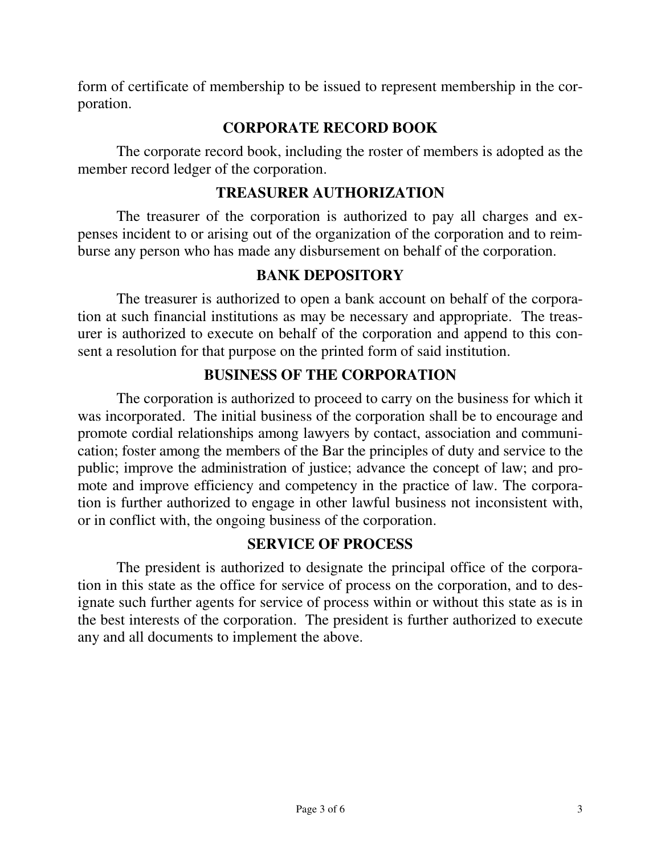form of certificate of membership to be issued to represent membership in the corporation.

## **CORPORATE RECORD BOOK**

The corporate record book, including the roster of members is adopted as the member record ledger of the corporation.

## **TREASURER AUTHORIZATION**

The treasurer of the corporation is authorized to pay all charges and expenses incident to or arising out of the organization of the corporation and to reimburse any person who has made any disbursement on behalf of the corporation.

## **BANK DEPOSITORY**

The treasurer is authorized to open a bank account on behalf of the corporation at such financial institutions as may be necessary and appropriate. The treasurer is authorized to execute on behalf of the corporation and append to this consent a resolution for that purpose on the printed form of said institution.

## **BUSINESS OF THE CORPORATION**

The corporation is authorized to proceed to carry on the business for which it was incorporated. The initial business of the corporation shall be to encourage and promote cordial relationships among lawyers by contact, association and communication; foster among the members of the Bar the principles of duty and service to the public; improve the administration of justice; advance the concept of law; and promote and improve efficiency and competency in the practice of law. The corporation is further authorized to engage in other lawful business not inconsistent with, or in conflict with, the ongoing business of the corporation.

#### **SERVICE OF PROCESS**

The president is authorized to designate the principal office of the corporation in this state as the office for service of process on the corporation, and to designate such further agents for service of process within or without this state as is in the best interests of the corporation. The president is further authorized to execute any and all documents to implement the above.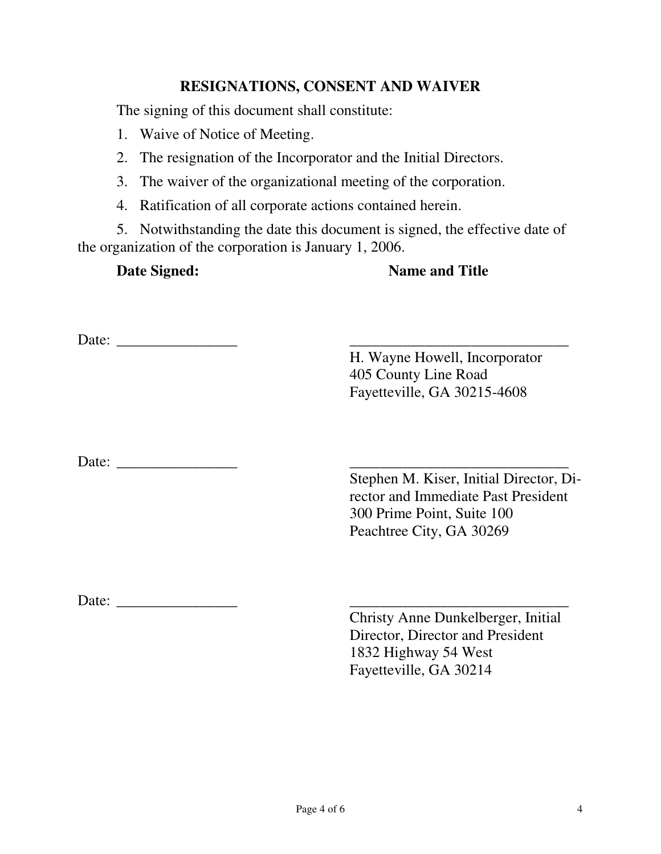#### **RESIGNATIONS, CONSENT AND WAIVER**

The signing of this document shall constitute:

- 1. Waive of Notice of Meeting.
- 2. The resignation of the Incorporator and the Initial Directors.
- 3. The waiver of the organizational meeting of the corporation.
- 4. Ratification of all corporate actions contained herein.

5. Notwithstanding the date this document is signed, the effective date of the organization of the corporation is January 1, 2006.

#### **Date Signed: Name and Title**

Date: \_\_\_\_\_\_\_\_\_\_\_\_\_\_\_\_ \_\_\_\_\_\_\_\_\_\_\_\_\_\_\_\_\_\_\_\_\_\_\_\_\_\_\_\_\_

H. Wayne Howell, Incorporator 405 County Line Road Fayetteville, GA 30215-4608

Date: \_\_\_\_\_\_\_\_\_\_\_\_\_\_\_\_ \_\_\_\_\_\_\_\_\_\_\_\_\_\_\_\_\_\_\_\_\_\_\_\_\_\_\_\_\_

Stephen M. Kiser, Initial Director, Director and Immediate Past President 300 Prime Point, Suite 100 Peachtree City, GA 30269

Date:

Christy Anne Dunkelberger, Initial Director, Director and President 1832 Highway 54 West Fayetteville, GA 30214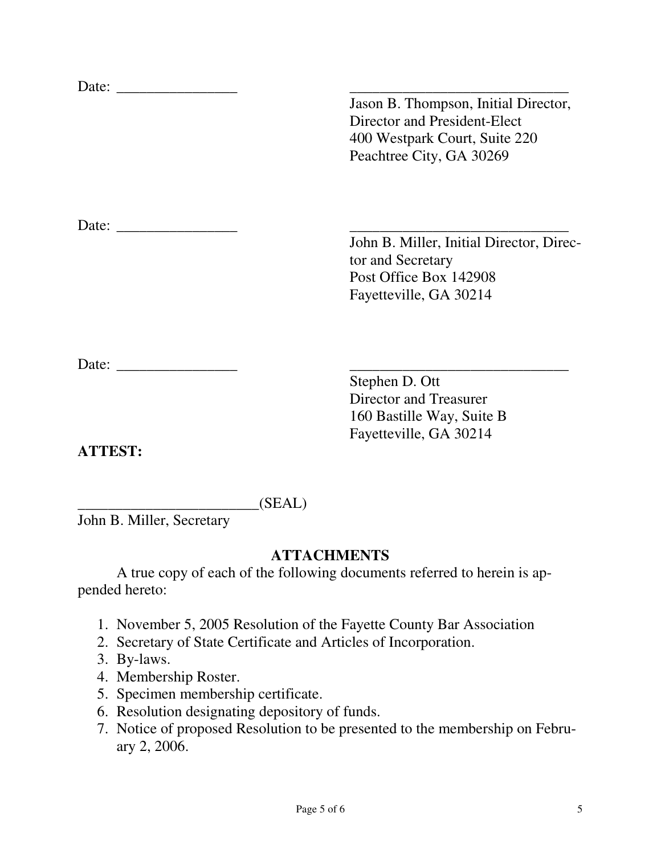|        | Jason B. Thompson, Initial Director,<br>Director and President-Elect<br>400 Westpark Court, Suite 220<br>Peachtree City, GA 30269 |
|--------|-----------------------------------------------------------------------------------------------------------------------------------|
|        |                                                                                                                                   |
|        |                                                                                                                                   |
|        | John B. Miller, Initial Director, Direc-<br>tor and Secretary                                                                     |
|        | Post Office Box 142908                                                                                                            |
|        | Fayetteville, GA 30214                                                                                                            |
| Date:  |                                                                                                                                   |
|        | Stephen D. Ott                                                                                                                    |
|        | Director and Treasurer                                                                                                            |
|        | 160 Bastille Way, Suite B<br>Fayetteville, GA 30214                                                                               |
| ATTEST |                                                                                                                                   |

 $(SEAL)$ 

John B. Miller, Secretary

# **ATTACHMENTS**

A true copy of each of the following documents referred to herein is appended hereto:

- 1. November 5, 2005 Resolution of the Fayette County Bar Association
- 2. Secretary of State Certificate and Articles of Incorporation.
- 3. By-laws.
- 4. Membership Roster.
- 5. Specimen membership certificate.
- 6. Resolution designating depository of funds.
- 7. Notice of proposed Resolution to be presented to the membership on February 2, 2006.